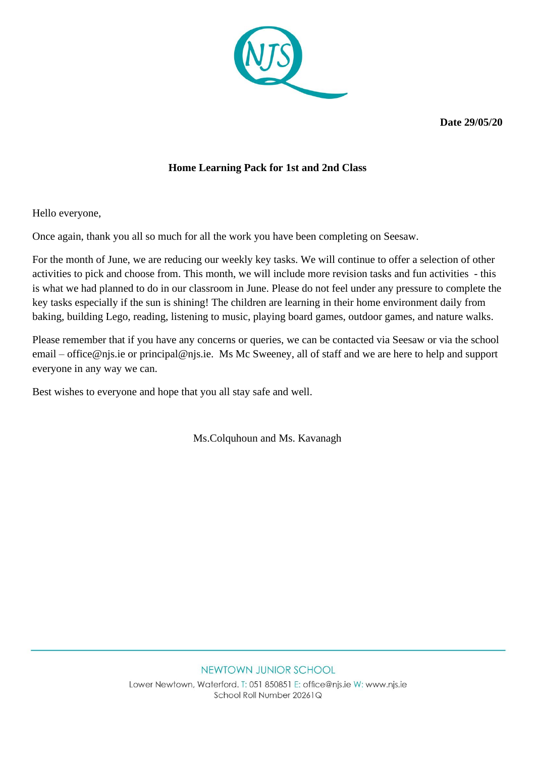

**Date 29/05/20**

### **Home Learning Pack for 1st and 2nd Class**

Hello everyone,

Once again, thank you all so much for all the work you have been completing on Seesaw.

For the month of June, we are reducing our weekly key tasks. We will continue to offer a selection of other activities to pick and choose from. This month, we will include more revision tasks and fun activities - this is what we had planned to do in our classroom in June. Please do not feel under any pressure to complete the key tasks especially if the sun is shining! The children are learning in their home environment daily from baking, building Lego, reading, listening to music, playing board games, outdoor games, and nature walks.

Please remember that if you have any concerns or queries, we can be contacted via Seesaw or via the school email – [office@njs.ie](mailto:office@njs.ie) or [principal@njs.ie.](mailto:principal@njs.ie) Ms Mc Sweeney, all of staff and we are here to help and support everyone in any way we can.

Best wishes to everyone and hope that you all stay safe and well.

Ms.Colquhoun and Ms. Kavanagh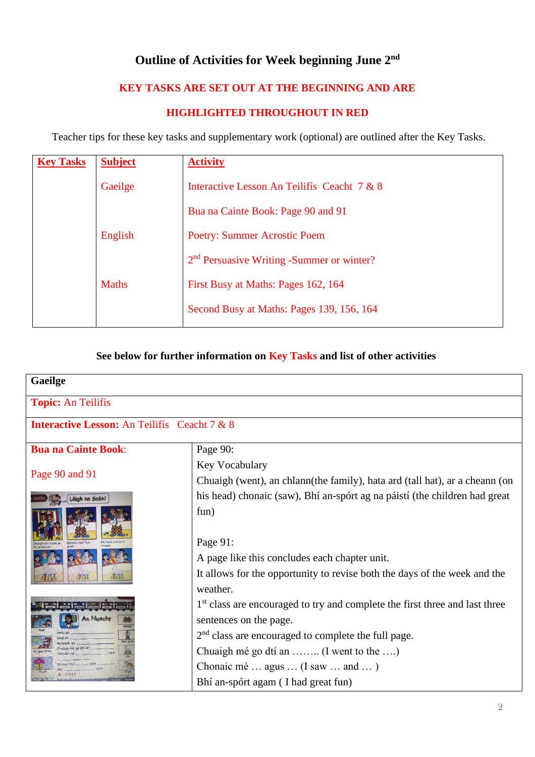# **Outline of Activities for Week beginning June 2 nd**

# **KEY TASKS ARE SET OUT AT THE BEGINNING AND ARE**

#### **HIGHLIGHTED THROUGHOUT IN RED**

Teacher tips for these key tasks and supplementary work (optional) are outlined after the Key Tasks.

| <b>Key Tasks</b> | <b>Subject</b> | <b>Activity</b>                                       |
|------------------|----------------|-------------------------------------------------------|
|                  | Gaeilge        | Interactive Lesson An Teilifís Ceacht 7 & 8           |
|                  |                | Bua na Cainte Book: Page 90 and 91                    |
|                  | English        | <b>Poetry: Summer Acrostic Poem</b>                   |
|                  |                | 2 <sup>nd</sup> Persuasive Writing -Summer or winter? |
| <b>Maths</b>     |                | First Busy at Maths: Pages 162, 164                   |
|                  |                | Second Busy at Maths: Pages 139, 156, 164             |
|                  |                |                                                       |

# **See below for further information on Key Tasks and list of other activities**

| Gaeilge                                             |                                                                                         |  |  |  |  |
|-----------------------------------------------------|-----------------------------------------------------------------------------------------|--|--|--|--|
| <b>Topic: An Teilifís</b>                           |                                                                                         |  |  |  |  |
| <b>Interactive Lesson:</b> An Teilifís Ceacht 7 & 8 |                                                                                         |  |  |  |  |
| <b>Bua na Cainte Book:</b>                          | Page 90:                                                                                |  |  |  |  |
|                                                     | Key Vocabulary                                                                          |  |  |  |  |
| Page 90 and 91                                      | Chuaigh (went), an chlann(the family), hata ard (tall hat), ar a cheann (on             |  |  |  |  |
| Léigh an Scéal                                      | his head) chonaic (saw), Bhí an-spórt ag na páistí (the children had great              |  |  |  |  |
|                                                     | fun)                                                                                    |  |  |  |  |
| Changie sigd                                        | Page 91:                                                                                |  |  |  |  |
|                                                     | A page like this concludes each chapter unit.                                           |  |  |  |  |
|                                                     | It allows for the opportunity to revise both the days of the week and the               |  |  |  |  |
|                                                     | weather.                                                                                |  |  |  |  |
|                                                     | 1 <sup>st</sup> class are encouraged to try and complete the first three and last three |  |  |  |  |
| <b>An Nuacht</b>                                    | sentences on the page.                                                                  |  |  |  |  |
|                                                     | $2nd$ class are encouraged to complete the full page.                                   |  |  |  |  |
|                                                     | Chuaigh mé go dtí an  (I went to the )                                                  |  |  |  |  |
|                                                     | Chonaic mé  agus  (I saw  and )                                                         |  |  |  |  |
|                                                     | Bhí an-spórt agam (I had great fun)                                                     |  |  |  |  |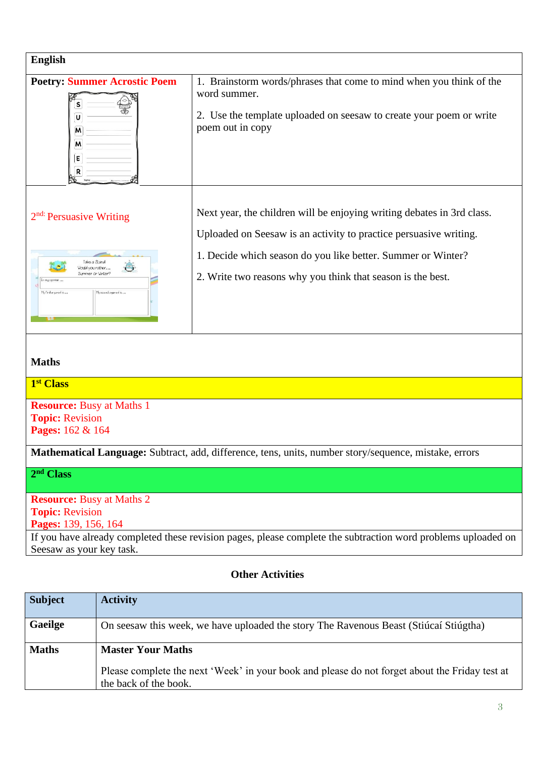| <b>English</b>                                                                                                                                                                                                                  |                                                                                                                                                                                                                                                                            |  |  |  |
|---------------------------------------------------------------------------------------------------------------------------------------------------------------------------------------------------------------------------------|----------------------------------------------------------------------------------------------------------------------------------------------------------------------------------------------------------------------------------------------------------------------------|--|--|--|
| <b>Poetry: Summer Acrostic Poem</b><br>U<br>м<br>м<br>E<br>R                                                                                                                                                                    | 1. Brainstorm words/phrases that come to mind when you think of the<br>word summer.<br>2. Use the template uploaded on seesaw to create your poem or write<br>poem out in copy                                                                                             |  |  |  |
| $2nd$ : Persuasive Writing<br>Take a Stand!<br>Would you rather<br>Summer or Winter?<br>In my opinion<br>My first argument is<br>Musecond crouners is                                                                           | Next year, the children will be enjoying writing debates in 3rd class.<br>Uploaded on Seesaw is an activity to practice persuasive writing.<br>1. Decide which season do you like better. Summer or Winter?<br>2. Write two reasons why you think that season is the best. |  |  |  |
| <b>Maths</b>                                                                                                                                                                                                                    |                                                                                                                                                                                                                                                                            |  |  |  |
| 1 <sup>st</sup> Class                                                                                                                                                                                                           |                                                                                                                                                                                                                                                                            |  |  |  |
| <b>Resource:</b> Busy at Maths 1<br><b>Topic: Revision</b><br>Pages: 162 & 164                                                                                                                                                  |                                                                                                                                                                                                                                                                            |  |  |  |
| <b>Mathematical Language:</b> Subtract, add, difference, tens, units, number story/sequence, mistake, errors                                                                                                                    |                                                                                                                                                                                                                                                                            |  |  |  |
| 2 <sup>nd</sup> Class                                                                                                                                                                                                           |                                                                                                                                                                                                                                                                            |  |  |  |
| <b>Resource:</b> Busy at Maths 2<br><b>Topic: Revision</b><br>Pages: 139, 156, 164<br>If you have already completed these revision pages, please complete the subtraction word problems uploaded on<br>Seesaw as your key task. |                                                                                                                                                                                                                                                                            |  |  |  |

### **Other Activities**

| <b>Subject</b> | <b>Activity</b>                                                                                                         |
|----------------|-------------------------------------------------------------------------------------------------------------------------|
| <b>Gaeilge</b> | On seesaw this week, we have uploaded the story The Ravenous Beast (Stiúcaí Stiúgtha)                                   |
| <b>Maths</b>   | <b>Master Your Maths</b>                                                                                                |
|                | Please complete the next 'Week' in your book and please do not forget about the Friday test at<br>the back of the book. |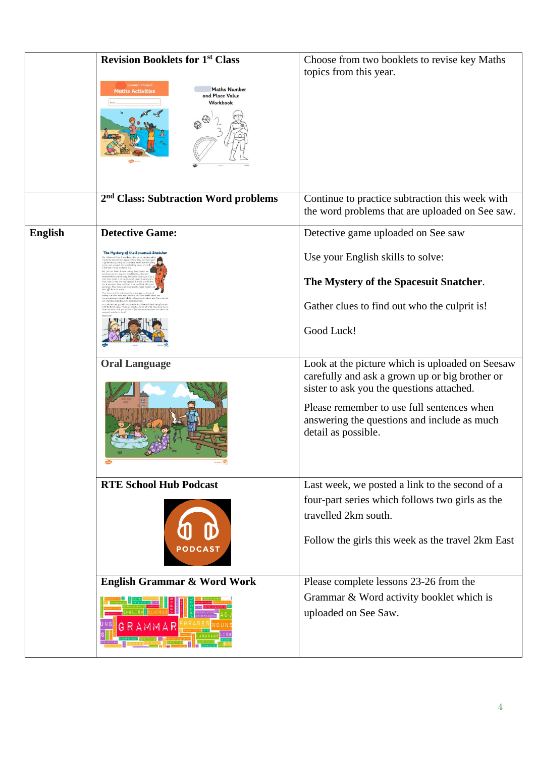|                | <b>Revision Booklets for 1st Class</b><br><b>Maths Number</b><br><b>Maths Activities</b><br>and Place Value<br>Workbook | Choose from two booklets to revise key Maths<br>topics from this year.                                                                                                                                                                                             |
|----------------|-------------------------------------------------------------------------------------------------------------------------|--------------------------------------------------------------------------------------------------------------------------------------------------------------------------------------------------------------------------------------------------------------------|
|                | 2 <sup>nd</sup> Class: Subtraction Word problems                                                                        | Continue to practice subtraction this week with<br>the word problems that are uploaded on See saw.                                                                                                                                                                 |
| <b>English</b> | <b>Detective Game:</b>                                                                                                  | Detective game uploaded on See saw                                                                                                                                                                                                                                 |
|                | The Mystery of the Spacesuit Snatcher                                                                                   | Use your English skills to solve:                                                                                                                                                                                                                                  |
|                |                                                                                                                         | The Mystery of the Spacesuit Snatcher.                                                                                                                                                                                                                             |
|                |                                                                                                                         | Gather clues to find out who the culprit is!                                                                                                                                                                                                                       |
|                |                                                                                                                         | Good Luck!                                                                                                                                                                                                                                                         |
|                | <b>Oral Language</b>                                                                                                    | Look at the picture which is uploaded on Seesaw<br>carefully and ask a grown up or big brother or<br>sister to ask you the questions attached.<br>Please remember to use full sentences when<br>answering the questions and include as much<br>detail as possible. |
|                | <b>RTE School Hub Podcast</b>                                                                                           | Last week, we posted a link to the second of a                                                                                                                                                                                                                     |
|                |                                                                                                                         | four-part series which follows two girls as the<br>travelled 2km south.                                                                                                                                                                                            |
|                |                                                                                                                         | Follow the girls this week as the travel 2km East                                                                                                                                                                                                                  |
|                | English Grammar & Word Work                                                                                             | Please complete lessons 23-26 from the                                                                                                                                                                                                                             |
|                |                                                                                                                         | Grammar & Word activity booklet which is<br>uploaded on See Saw.                                                                                                                                                                                                   |